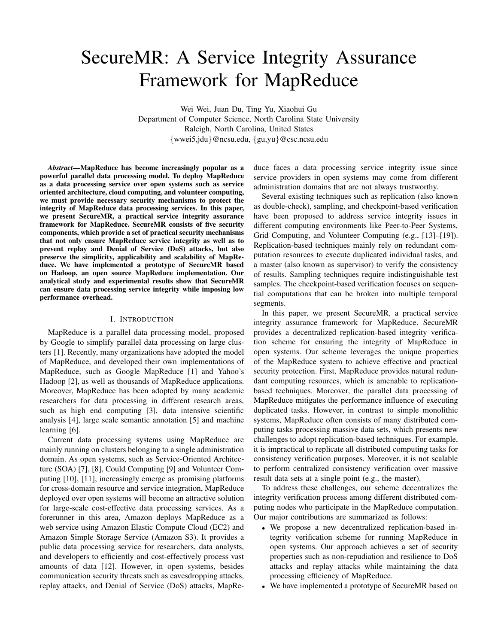# SecureMR: A Service Integrity Assurance Framework for MapReduce

Wei Wei, Juan Du, Ting Yu, Xiaohui Gu Department of Computer Science, North Carolina State University Raleigh, North Carolina, United States {wwei5,jdu}@ncsu.edu, {gu,yu}@csc.ncsu.edu

*Abstract***—MapReduce has become increasingly popular as a powerful parallel data processing model. To deploy MapReduce as a data processing service over open systems such as service oriented architecture, cloud computing, and volunteer computing, we must provide necessary security mechanisms to protect the integrity of MapReduce data processing services. In this paper, we present SecureMR, a practical service integrity assurance framework for MapReduce. SecureMR consists of five security components, which provide a set of practical security mechanisms that not only ensure MapReduce service integrity as well as to prevent replay and Denial of Service (DoS) attacks, but also preserve the simplicity, applicability and scalability of MapReduce. We have implemented a prototype of SecureMR based on Hadoop, an open source MapReduce implementation. Our analytical study and experimental results show that SecureMR can ensure data processing service integrity while imposing low performance overhead.**

#### I. INTRODUCTION

MapReduce is a parallel data processing model, proposed by Google to simplify parallel data processing on large clusters [1]. Recently, many organizations have adopted the model of MapReduce, and developed their own implementations of MapReduce, such as Google MapReduce [1] and Yahoo's Hadoop [2], as well as thousands of MapReduce applications. Moreover, MapReduce has been adopted by many academic researchers for data processing in different research areas, such as high end computing [3], data intensive scientific analysis [4], large scale semantic annotation [5] and machine learning [6].

Current data processing systems using MapReduce are mainly running on clusters belonging to a single administration domain. As open systems, such as Service-Oriented Architecture (SOA) [7], [8], Could Computing [9] and Volunteer Computing [10], [11], increasingly emerge as promising platforms for cross-domain resource and service integration, MapReduce deployed over open systems will become an attractive solution for large-scale cost-effective data processing services. As a forerunner in this area, Amazon deploys MapReduce as a web service using Amazon Elastic Compute Cloud (EC2) and Amazon Simple Storage Service (Amazon S3). It provides a public data processing service for researchers, data analysts, and developers to efficiently and cost-effectively process vast amounts of data [12]. However, in open systems, besides communication security threats such as eavesdropping attacks, replay attacks, and Denial of Service (DoS) attacks, MapReduce faces a data processing service integrity issue since service providers in open systems may come from different administration domains that are not always trustworthy.

Several existing techniques such as replication (also known as double-check), sampling, and checkpoint-based verification have been proposed to address service integrity issues in different computing environments like Peer-to-Peer Systems, Grid Computing, and Volunteer Computing (e.g., [13]–[19]). Replication-based techniques mainly rely on redundant computation resources to execute duplicated individual tasks, and a master (also known as supervisor) to verify the consistency of results. Sampling techniques require indistinguishable test samples. The checkpoint-based verification focuses on sequential computations that can be broken into multiple temporal segments.

In this paper, we present SecureMR, a practical service integrity assurance framework for MapReduce. SecureMR provides a decentralized replication-based integrity verification scheme for ensuring the integrity of MapReduce in open systems. Our scheme leverages the unique properties of the MapReduce system to achieve effective and practical security protection. First, MapReduce provides natural redundant computing resources, which is amenable to replicationbased techniques. Moreover, the parallel data processing of MapReduce mitigates the performance influence of executing duplicated tasks. However, in contrast to simple monolithic systems, MapReduce often consists of many distributed computing tasks processing massive data sets, which presents new challenges to adopt replication-based techniques. For example, it is impractical to replicate all distributed computing tasks for consistency verification purposes. Moreover, it is not scalable to perform centralized consistency verification over massive result data sets at a single point (e.g., the master).

To address these challenges, our scheme decentralizes the integrity verification process among different distributed computing nodes who participate in the MapReduce computation. Our major contributions are summarized as follows:

- We propose a new decentralized replication-based integrity verification scheme for running MapReduce in open systems. Our approach achieves a set of security properties such as non-repudiation and resilience to DoS attacks and replay attacks while maintaining the data processing efficiency of MapReduce.
- We have implemented a prototype of SecureMR based on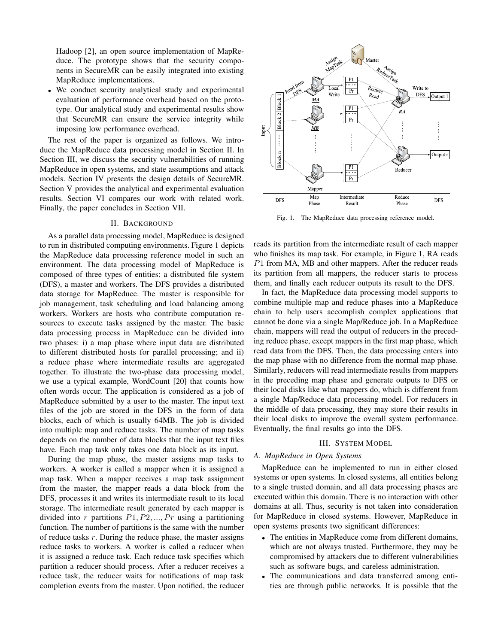Hadoop [2], an open source implementation of MapReduce. The prototype shows that the security components in SecureMR can be easily integrated into existing MapReduce implementations.

• We conduct security analytical study and experimental evaluation of performance overhead based on the prototype. Our analytical study and experimental results show that SecureMR can ensure the service integrity while imposing low performance overhead.

The rest of the paper is organized as follows. We introduce the MapReduce data processing model in Section II. In Section III, we discuss the security vulnerabilities of running MapReduce in open systems, and state assumptions and attack models. Section IV presents the design details of SecureMR. Section V provides the analytical and experimental evaluation results. Section VI compares our work with related work. Finally, the paper concludes in Section VII.

#### II. BACKGROUND

As a parallel data processing model, MapReduce is designed to run in distributed computing environments. Figure 1 depicts the MapReduce data processing reference model in such an environment. The data processing model of MapReduce is composed of three types of entities: a distributed file system (DFS), a master and workers. The DFS provides a distributed data storage for MapReduce. The master is responsible for job management, task scheduling and load balancing among workers. Workers are hosts who contribute computation resources to execute tasks assigned by the master. The basic data processing process in MapReduce can be divided into two phases: i) a map phase where input data are distributed to different distributed hosts for parallel processing; and ii) a reduce phase where intermediate results are aggregated together. To illustrate the two-phase data processing model, we use a typical example, WordCount [20] that counts how often words occur. The application is considered as a job of MapReduce submitted by a user to the master. The input text files of the job are stored in the DFS in the form of data blocks, each of which is usually 64MB. The job is divided into multiple map and reduce tasks. The number of map tasks depends on the number of data blocks that the input text files have. Each map task only takes one data block as its input.

During the map phase, the master assigns map tasks to workers. A worker is called a mapper when it is assigned a map task. When a mapper receives a map task assignment from the master, the mapper reads a data block from the DFS, processes it and writes its intermediate result to its local storage. The intermediate result generated by each mapper is divided into r partitions  $P1, P2, ..., Pr$  using a partitioning function. The number of partitions is the same with the number of reduce tasks  $r$ . During the reduce phase, the master assigns reduce tasks to workers. A worker is called a reducer when it is assigned a reduce task. Each reduce task specifies which partition a reducer should process. After a reducer receives a reduce task, the reducer waits for notifications of map task completion events from the master. Upon notified, the reducer



Fig. 1. The MapReduce data processing reference model.

reads its partition from the intermediate result of each mapper who finishes its map task. For example, in Figure 1, RA reads P1 from MA, MB and other mappers. After the reducer reads its partition from all mappers, the reducer starts to process them, and finally each reducer outputs its result to the DFS.

In fact, the MapReduce data processing model supports to combine multiple map and reduce phases into a MapReduce chain to help users accomplish complex applications that cannot be done via a single Map/Reduce job. In a MapReduce chain, mappers will read the output of reducers in the preceding reduce phase, except mappers in the first map phase, which read data from the DFS. Then, the data processing enters into the map phase with no difference from the normal map phase. Similarly, reducers will read intermediate results from mappers in the preceding map phase and generate outputs to DFS or their local disks like what mappers do, which is different from a single Map/Reduce data processing model. For reducers in the middle of data processing, they may store their results in their local disks to improve the overall system performance. Eventually, the final results go into the DFS.

#### III. SYSTEM MODEL

## *A. MapReduce in Open Systems*

MapReduce can be implemented to run in either closed systems or open systems. In closed systems, all entities belong to a single trusted domain, and all data processing phases are executed within this domain. There is no interaction with other domains at all. Thus, security is not taken into consideration for MapReduce in closed systems. However, MapReduce in open systems presents two significant differences:

- The entities in MapReduce come from different domains, which are not always trusted. Furthermore, they may be compromised by attackers due to different vulnerabilities such as software bugs, and careless administration.
- The communications and data transferred among entities are through public networks. It is possible that the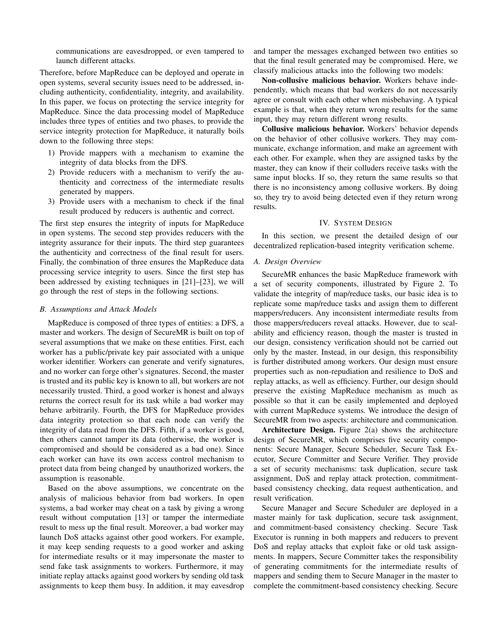communications are eavesdropped, or even tampered to launch different attacks.

Therefore, before MapReduce can be deployed and operate in open systems, several security issues need to be addressed, including authenticity, confidentiality, integrity, and availability. In this paper, we focus on protecting the service integrity for MapReduce. Since the data processing model of MapReduce includes three types of entities and two phases, to provide the service integrity protection for MapReduce, it naturally boils down to the following three steps:

- 1) Provide mappers with a mechanism to examine the integrity of data blocks from the DFS.
- 2) Provide reducers with a mechanism to verify the authenticity and correctness of the intermediate results generated by mappers.
- 3) Provide users with a mechanism to check if the final result produced by reducers is authentic and correct.

The first step ensures the integrity of inputs for MapReduce in open systems. The second step provides reducers with the integrity assurance for their inputs. The third step guarantees the authenticity and correctness of the final result for users. Finally, the combination of three ensures the MapReduce data processing service integrity to users. Since the first step has been addressed by existing techniques in [21]–[23], we will go through the rest of steps in the following sections.

## *B. Assumptions and Attack Models*

MapReduce is composed of three types of entities: a DFS, a master and workers. The design of SecureMR is built on top of several assumptions that we make on these entities. First, each worker has a public/private key pair associated with a unique worker identifier. Workers can generate and verify signatures, and no worker can forge other's signatures. Second, the master is trusted and its public key is known to all, but workers are not necessarily trusted. Third, a good worker is honest and always returns the correct result for its task while a bad worker may behave arbitrarily. Fourth, the DFS for MapReduce provides data integrity protection so that each node can verify the integrity of data read from the DFS. Fifth, if a worker is good, then others cannot tamper its data (otherwise, the worker is compromised and should be considered as a bad one). Since each worker can have its own access control mechanism to protect data from being changed by unauthorized workers, the assumption is reasonable.

Based on the above assumptions, we concentrate on the analysis of malicious behavior from bad workers. In open systems, a bad worker may cheat on a task by giving a wrong result without computation [13] or tamper the intermediate result to mess up the final result. Moreover, a bad worker may launch DoS attacks against other good workers. For example, it may keep sending requests to a good worker and asking for intermediate results or it may impersonate the master to send fake task assignments to workers. Furthermore, it may initiate replay attacks against good workers by sending old task assignments to keep them busy. In addition, it may eavesdrop

and tamper the messages exchanged between two entities so that the final result generated may be compromised. Here, we classify malicious attacks into the following two models:

**Non-collusive malicious behavior.** Workers behave independently, which means that bad workers do not necessarily agree or consult with each other when misbehaving. A typical example is that, when they return wrong results for the same input, they may return different wrong results.

**Collusive malicious behavior.** Workers' behavior depends on the behavior of other collusive workers. They may communicate, exchange information, and make an agreement with each other. For example, when they are assigned tasks by the master, they can know if their colluders receive tasks with the same input blocks. If so, they return the same results so that there is no inconsistency among collusive workers. By doing so, they try to avoid being detected even if they return wrong results.

#### IV. SYSTEM DESIGN

In this section, we present the detailed design of our decentralized replication-based integrity verification scheme.

#### *A. Design Overview*

SecureMR enhances the basic MapReduce framework with a set of security components, illustrated by Figure 2. To validate the integrity of map/reduce tasks, our basic idea is to replicate some map/reduce tasks and assign them to different mappers/reducers. Any inconsistent intermediate results from those mappers/reducers reveal attacks. However, due to scalability and efficiency reason, though the master is trusted in our design, consistency verification should not be carried out only by the master. Instead, in our design, this responsibility is further distributed among workers. Our design must ensure properties such as non-repudiation and resilience to DoS and replay attacks, as well as efficiency. Further, our design should preserve the existing MapReduce mechanism as much as possible so that it can be easily implemented and deployed with current MapReduce systems. We introduce the design of SecureMR from two aspects: architecture and communication.

**Architecture Design.** Figure 2(a) shows the architecture design of SecureMR, which comprises five security components: Secure Manager, Secure Scheduler, Secure Task Executor, Secure Committer and Secure Verifier. They provide a set of security mechanisms: task duplication, secure task assignment, DoS and replay attack protection, commitmentbased consistency checking, data request authentication, and result verification.

Secure Manager and Secure Scheduler are deployed in a master mainly for task duplication, secure task assignment, and commitment-based consistency checking. Secure Task Executor is running in both mappers and reducers to prevent DoS and replay attacks that exploit fake or old task assignments. In mappers, Secure Committer takes the responsibility of generating commitments for the intermediate results of mappers and sending them to Secure Manager in the master to complete the commitment-based consistency checking. Secure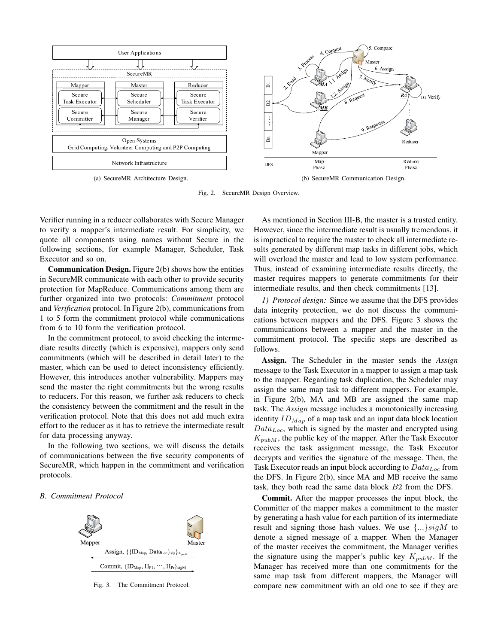

Fig. 2. SecureMR Design Overview.

Verifier running in a reducer collaborates with Secure Manager to verify a mapper's intermediate result. For simplicity, we quote all components using names without Secure in the following sections, for example Manager, Scheduler, Task Executor and so on.

**Communication Design.** Figure 2(b) shows how the entities in SecureMR communicate with each other to provide security protection for MapReduce. Communications among them are further organized into two protocols: *Commitment* protocol and *Verification* protocol. In Figure 2(b), communications from 1 to 5 form the commitment protocol while communications from 6 to 10 form the verification protocol.

In the commitment protocol, to avoid checking the intermediate results directly (which is expensive), mappers only send commitments (which will be described in detail later) to the master, which can be used to detect inconsistency efficiently. However, this introduces another vulnerability. Mappers may send the master the right commitments but the wrong results to reducers. For this reason, we further ask reducers to check the consistency between the commitment and the result in the verification protocol. Note that this does not add much extra effort to the reducer as it has to retrieve the intermediate result for data processing anyway.

In the following two sections, we will discuss the details of communications between the five security components of SecureMR, which happen in the commitment and verification protocols.

## *B. Commitment Protocol*



Fig. 3. The Commitment Protocol.

As mentioned in Section III-B, the master is a trusted entity. However, since the intermediate result is usually tremendous, it is impractical to require the master to check all intermediate results generated by different map tasks in different jobs, which will overload the master and lead to low system performance. Thus, instead of examining intermediate results directly, the master requires mappers to generate commitments for their intermediate results, and then check commitments [13].

*1) Protocol design:* Since we assume that the DFS provides data integrity protection, we do not discuss the communications between mappers and the DFS. Figure 3 shows the communications between a mapper and the master in the commitment protocol. The specific steps are described as follows.

**Assign.** The Scheduler in the master sends the *Assign* message to the Task Executor in a mapper to assign a map task to the mapper. Regarding task duplication, the Scheduler may assign the same map task to different mappers. For example, in Figure 2(b), MA and MB are assigned the same map task. The *Assign* message includes a monotonically increasing identity  $ID_{Map}$  of a map task and an input data block location  $Data_{Loc}$ , which is signed by the master and encrypted using  $K_{pubM}$ , the public key of the mapper. After the Task Executor receives the task assignment message, the Task Executor decrypts and verifies the signature of the message. Then, the Task Executor reads an input block according to  $Data_{Loc}$  from the DFS. In Figure 2(b), since MA and MB receive the same task, they both read the same data block B2 from the DFS.

**Commit.** After the mapper processes the input block, the Committer of the mapper makes a commitment to the master by generating a hash value for each partition of its intermediate result and signing those hash values. We use  $\{...\}sigM$  to denote a signed message of a mapper. When the Manager of the master receives the commitment, the Manager verifies the signature using the mapper's public key  $K_{pubM}$ . If the Manager has received more than one commitments for the same map task from different mappers, the Manager will compare new commitment with an old one to see if they are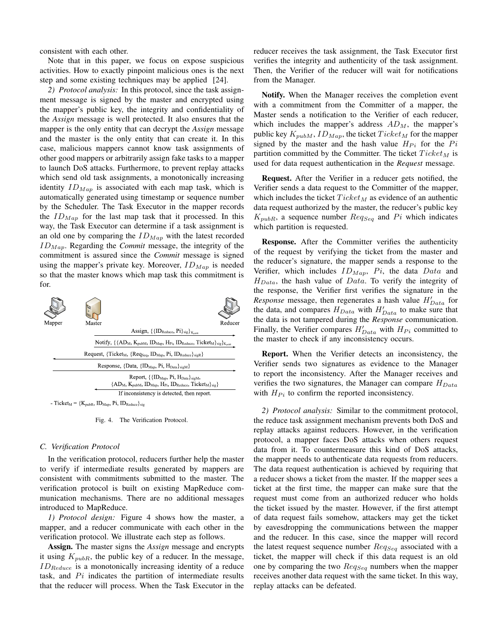consistent with each other.

Note that in this paper, we focus on expose suspicious activities. How to exactly pinpoint malicious ones is the next step and some existing techniques may be applied [24].

*2) Protocol analysis:* In this protocol, since the task assignment message is signed by the master and encrypted using the mapper's public key, the integrity and confidentiality of the *Assign* message is well protected. It also ensures that the mapper is the only entity that can decrypt the *Assign* message and the master is the only entity that can create it. In this case, malicious mappers cannot know task assignments of other good mappers or arbitrarily assign fake tasks to a mapper to launch DoS attacks. Furthermore, to prevent replay attacks which send old task assignments, a monotonically increasing identity  $ID_{Map}$  is associated with each map task, which is automatically generated using timestamp or sequence number by the Scheduler. The Task Executor in the mapper records the  $ID_{Map}$  for the last map task that it processed. In this way, the Task Executor can determine if a task assignment is an old one by comparing the  $ID_{Map}$  with the latest recorded  $ID_{Map}$ . Regarding the *Commit* message, the integrity of the commitment is assured since the *Commit* message is signed using the mapper's private key. Moreover,  $ID_{Map}$  is needed so that the master knows which map task this commitment is for.

| Mapper | Master                                                                                                        | Reducer                                                                                                                |  |
|--------|---------------------------------------------------------------------------------------------------------------|------------------------------------------------------------------------------------------------------------------------|--|
|        | Assign, $\{ {ID}_{Reduce}, Pi \}_{size}$                                                                      |                                                                                                                        |  |
|        |                                                                                                               | Notify, $\{ \{AD_M, K_{pubM}, ID_{Map}, H_{Pi}, ID_{Reduce}, Ticket_M \}_{sig} \}_{K_{pubR}}$                          |  |
|        |                                                                                                               | Request, {Ticket <sub>M</sub> , {Req <sub>Seq</sub> , ID <sub>Map</sub> , Pi, ID <sub>Reduce</sub> } <sub>sigR</sub> } |  |
|        |                                                                                                               | Response, {Data, { $ID_{Map}$ , Pi, $H_{Data}$ } sigM}                                                                 |  |
|        |                                                                                                               | Report, $\{ {\rm ID}_{\text{Map}}, P_i, H_{\text{Data}} \}_{\text{sigM}},$                                             |  |
|        |                                                                                                               | ${AD_M, K_{pubM}, ID_{Map}, H_{Pi}, ID_{Reduce}, Ticket_M\}_{sig}}$                                                    |  |
|        |                                                                                                               | If inconsistency is detected, then report.                                                                             |  |
|        | $-$ Ticket <sub>M</sub> = { $K_{\text{pubR}}$ , ID <sub>Map</sub> , Pi, ID <sub>Reduce</sub> } <sub>sig</sub> |                                                                                                                        |  |

Fig. 4. The Verification Protocol.

#### *C. Verification Protocol*

In the verification protocol, reducers further help the master to verify if intermediate results generated by mappers are consistent with commitments submitted to the master. The verification protocol is built on existing MapReduce communication mechanisms. There are no additional messages introduced to MapReduce.

*1) Protocol design:* Figure 4 shows how the master, a mapper, and a reducer communicate with each other in the verification protocol. We illustrate each step as follows.

**Assign.** The master signs the *Assign* message and encrypts it using  $K_{pubR}$ , the public key of a reducer. In the message,  $ID_{Reduce}$  is a monotonically increasing identity of a reduce task, and  $Pi$  indicates the partition of intermediate results that the reducer will process. When the Task Executor in the reducer receives the task assignment, the Task Executor first verifies the integrity and authenticity of the task assignment. Then, the Verifier of the reducer will wait for notifications from the Manager.

**Notify.** When the Manager receives the completion event with a commitment from the Committer of a mapper, the Master sends a notification to the Verifier of each reducer, which includes the mapper's address  $AD_M$ , the mapper's public key  $K_{pubM}$ ,  $ID_{Map}$ , the ticket  $Ticket_M$  for the mapper signed by the master and the hash value  $H_{P_i}$  for the  $Pi$ partition committed by the Committer. The ticket  $Ticket_M$  is used for data request authentication in the *Request* message.

**Request.** After the Verifier in a reducer gets notified, the Verifier sends a data request to the Committer of the mapper, which includes the ticket  $Ticket_M$  as evidence of an authentic data request authorized by the master, the reducer's public key  $K_{pubR}$ , a sequence number  $Reg_{Seq}$  and  $Pi$  which indicates which partition is requested.

**Response.** After the Committer verifies the authenticity of the request by verifying the ticket from the master and the reducer's signature, the mapper sends a response to the Verifier, which includes  $ID_{Map}$ ,  $Pi$ , the data  $Data$  and  $H<sub>Data</sub>$ , the hash value of Data. To verify the integrity of the response, the Verifier first verifies the signature in the *Response* message, then regenerates a hash value  $H'_{Data}$  for the data, and compares  $H_{Data}$  with  $H'_{Data}$  to make sure that the data is not tampered during the *Response* communication. Finally, the Verifier compares  $H'_{Data}$  with  $H_{Pi}$  committed to the master to check if any inconsistency occurs.

**Report.** When the Verifier detects an inconsistency, the Verifier sends two signatures as evidence to the Manager to report the inconsistency. After the Manager receives and verifies the two signatures, the Manager can compare  $H_{Data}$ with  $H_{Pi}$  to confirm the reported inconsistency.

*2) Protocol analysis:* Similar to the commitment protocol, the reduce task assignment mechanism prevents both DoS and replay attacks against reducers. However, in the verification protocol, a mapper faces DoS attacks when others request data from it. To countermeasure this kind of DoS attacks, the mapper needs to authenticate data requests from reducers. The data request authentication is achieved by requiring that a reducer shows a ticket from the master. If the mapper sees a ticket at the first time, the mapper can make sure that the request must come from an authorized reducer who holds the ticket issued by the master. However, if the first attempt of data request fails somehow, attackers may get the ticket by eavesdropping the communications between the mapper and the reducer. In this case, since the mapper will record the latest request sequence number  $Reg_{Seq}$  associated with a ticket, the mapper will check if this data request is an old one by comparing the two  $Reg_{Seq}$  numbers when the mapper receives another data request with the same ticket. In this way, replay attacks can be defeated.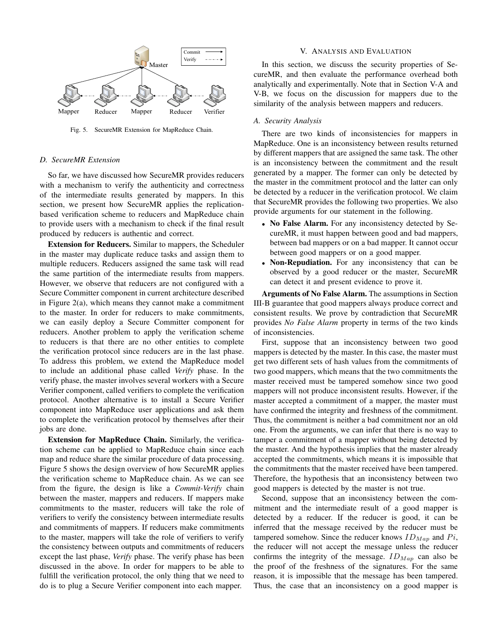

Fig. 5. SecureMR Extension for MapReduce Chain.

## *D. SecureMR Extension*

So far, we have discussed how SecureMR provides reducers with a mechanism to verify the authenticity and correctness of the intermediate results generated by mappers. In this section, we present how SecureMR applies the replicationbased verification scheme to reducers and MapReduce chain to provide users with a mechanism to check if the final result produced by reducers is authentic and correct.

**Extension for Reducers.** Similar to mappers, the Scheduler in the master may duplicate reduce tasks and assign them to multiple reducers. Reducers assigned the same task will read the same partition of the intermediate results from mappers. However, we observe that reducers are not configured with a Secure Committer component in current architecture described in Figure  $2(a)$ , which means they cannot make a commitment to the master. In order for reducers to make commitments, we can easily deploy a Secure Committer component for reducers. Another problem to apply the verification scheme to reducers is that there are no other entities to complete the verification protocol since reducers are in the last phase. To address this problem, we extend the MapReduce model to include an additional phase called *Verify* phase. In the verify phase, the master involves several workers with a Secure Verifier component, called verifiers to complete the verification protocol. Another alternative is to install a Secure Verifier component into MapReduce user applications and ask them to complete the verification protocol by themselves after their jobs are done.

**Extension for MapReduce Chain.** Similarly, the verification scheme can be applied to MapReduce chain since each map and reduce share the similar procedure of data processing. Figure 5 shows the design overview of how SecureMR applies the verification scheme to MapReduce chain. As we can see from the figure, the design is like a *Commit-Verify* chain between the master, mappers and reducers. If mappers make commitments to the master, reducers will take the role of verifiers to verify the consistency between intermediate results and commitments of mappers. If reducers make commitments to the master, mappers will take the role of verifiers to verify the consistency between outputs and commitments of reducers except the last phase, *Verify* phase. The verify phase has been discussed in the above. In order for mappers to be able to fulfill the verification protocol, the only thing that we need to do is to plug a Secure Verifier component into each mapper.

#### V. ANALYSIS AND EVALUATION

In this section, we discuss the security properties of SecureMR, and then evaluate the performance overhead both analytically and experimentally. Note that in Section V-A and V-B, we focus on the discussion for mappers due to the similarity of the analysis between mappers and reducers.

## *A. Security Analysis*

There are two kinds of inconsistencies for mappers in MapReduce. One is an inconsistency between results returned by different mappers that are assigned the same task. The other is an inconsistency between the commitment and the result generated by a mapper. The former can only be detected by the master in the commitment protocol and the latter can only be detected by a reducer in the verification protocol. We claim that SecureMR provides the following two properties. We also provide arguments for our statement in the following.

- **No False Alarm.** For any inconsistency detected by SecureMR, it must happen between good and bad mappers, between bad mappers or on a bad mapper. It cannot occur between good mappers or on a good mapper.
- **Non-Repudiation.** For any inconsistency that can be observed by a good reducer or the master, SecureMR can detect it and present evidence to prove it.

**Arguments of No False Alarm.** The assumptions in Section III-B guarantee that good mappers always produce correct and consistent results. We prove by contradiction that SecureMR provides *No False Alarm* property in terms of the two kinds of inconsistencies.

First, suppose that an inconsistency between two good mappers is detected by the master. In this case, the master must get two different sets of hash values from the commitments of two good mappers, which means that the two commitments the master received must be tampered somehow since two good mappers will not produce inconsistent results. However, if the master accepted a commitment of a mapper, the master must have confirmed the integrity and freshness of the commitment. Thus, the commitment is neither a bad commitment nor an old one. From the arguments, we can infer that there is no way to tamper a commitment of a mapper without being detected by the master. And the hypothesis implies that the master already accepted the commitments, which means it is impossible that the commitments that the master received have been tampered. Therefore, the hypothesis that an inconsistency between two good mappers is detected by the master is not true.

Second, suppose that an inconsistency between the commitment and the intermediate result of a good mapper is detected by a reducer. If the reducer is good, it can be inferred that the message received by the reducer must be tampered somehow. Since the reducer knows  $ID_{Map}$  and  $Pi$ , the reducer will not accept the message unless the reducer confirms the integrity of the message.  $ID_{Map}$  can also be the proof of the freshness of the signatures. For the same reason, it is impossible that the message has been tampered. Thus, the case that an inconsistency on a good mapper is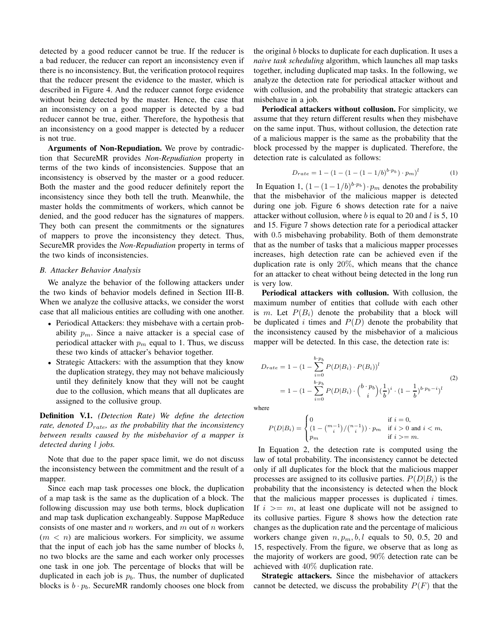detected by a good reducer cannot be true. If the reducer is a bad reducer, the reducer can report an inconsistency even if there is no inconsistency. But, the verification protocol requires that the reducer present the evidence to the master, which is described in Figure 4. And the reducer cannot forge evidence without being detected by the master. Hence, the case that an inconsistency on a good mapper is detected by a bad reducer cannot be true, either. Therefore, the hypothesis that an inconsistency on a good mapper is detected by a reducer is not true.

**Arguments of Non-Repudiation.** We prove by contradiction that SecureMR provides *Non-Repudiation* property in terms of the two kinds of inconsistencies. Suppose that an inconsistency is observed by the master or a good reducer. Both the master and the good reducer definitely report the inconsistency since they both tell the truth. Meanwhile, the master holds the commitments of workers, which cannot be denied, and the good reducer has the signatures of mappers. They both can present the commitments or the signatures of mappers to prove the inconsistency they detect. Thus, SecureMR provides the *Non-Repudiation* property in terms of the two kinds of inconsistencies.

#### *B. Attacker Behavior Analysis*

We analyze the behavior of the following attackers under the two kinds of behavior models defined in Section III-B. When we analyze the collusive attacks, we consider the worst case that all malicious entities are colluding with one another.

- Periodical Attackers: they misbehave with a certain probability  $p_m$ . Since a naive attacker is a special case of periodical attacker with  $p_m$  equal to 1. Thus, we discuss these two kinds of attacker's behavior together.
- Strategic Attackers: with the assumption that they know the duplication strategy, they may not behave maliciously until they definitely know that they will not be caught due to the collusion, which means that all duplicates are assigned to the collusive group.

**Definition V.1.** *(Detection Rate) We define the detection* rate, denoted  $D_{rate}$ , as the probability that the inconsistency *between results caused by the misbehavior of a mapper is detected during* l *jobs.*

Note that due to the paper space limit, we do not discuss the inconsistency between the commitment and the result of a mapper.

Since each map task processes one block, the duplication of a map task is the same as the duplication of a block. The following discussion may use both terms, block duplication and map task duplication exchangeably. Suppose MapReduce consists of one master and  $n$  workers, and  $m$  out of  $n$  workers  $(m < n)$  are malicious workers. For simplicity, we assume that the input of each job has the same number of blocks  $b$ , no two blocks are the same and each worker only processes one task in one job. The percentage of blocks that will be duplicated in each job is  $p<sub>b</sub>$ . Thus, the number of duplicated blocks is  $b \cdot p_b$ . SecureMR randomly chooses one block from the original b blocks to duplicate for each duplication. It uses a *naive task scheduling* algorithm, which launches all map tasks together, including duplicated map tasks. In the following, we analyze the detection rate for periodical attacker without and with collusion, and the probability that strategic attackers can misbehave in a job.

**Periodical attackers without collusion.** For simplicity, we assume that they return different results when they misbehave on the same input. Thus, without collusion, the detection rate of a malicious mapper is the same as the probability that the block processed by the mapper is duplicated. Therefore, the detection rate is calculated as follows:

$$
D_{rate} = 1 - (1 - (1 - (1 - 1/b)^{b \cdot p_b}) \cdot p_m)^l
$$
 (1)

In Equation 1,  $(1 - (1 - 1/b)^{b \cdot p_b}) \cdot p_m$  denotes the probability that the misbehavior of the malicious mapper is detected during one job. Figure 6 shows detection rate for a naive attacker without collusion, where b is equal to 20 and l is 5, 10 and 15. Figure 7 shows detection rate for a periodical attacker with 0.5 misbehaving probability. Both of them demonstrate that as the number of tasks that a malicious mapper processes increases, high detection rate can be achieved even if the duplication rate is only 20%, which means that the chance for an attacker to cheat without being detected in the long run is very low.

**Periodical attackers with collusion.** With collusion, the maximum number of entities that collude with each other is m. Let  $P(B_i)$  denote the probability that a block will be duplicated i times and  $P(D)$  denote the probability that the inconsistency caused by the misbehavior of a malicious mapper will be detected. In this case, the detection rate is:

$$
D_{rate} = 1 - (1 - \sum_{i=0}^{b \cdot p_b} P(D|B_i) \cdot P(B_i))^l
$$
  
= 1 - (1 - \sum\_{i=0}^{b \cdot p\_b} P(D|B\_i) \cdot {b \cdot p\_b \choose i} (\frac{1}{b})^i \cdot (1 - \frac{1}{b})^{b \cdot p\_b - i}^l (2)

where

$$
P(D|B_i) = \begin{cases} 0 & \text{if } i = 0, \\ (1 - \binom{m-1}{i} / \binom{n-1}{i}) \cdot p_m & \text{if } i > 0 \text{ and } i < m, \\ p_m & \text{if } i > m. \end{cases}
$$

In Equation 2, the detection rate is computed using the law of total probability. The inconsistency cannot be detected only if all duplicates for the block that the malicious mapper processes are assigned to its collusive parties.  $P(D|B_i)$  is the probability that the inconsistency is detected when the block that the malicious mapper processes is duplicated  $i$  times. If  $i \geq m$ , at least one duplicate will not be assigned to its collusive parties. Figure 8 shows how the detection rate changes as the duplication rate and the percentage of malicious workers change given  $n, p_m, b, l$  equals to 50, 0.5, 20 and 15, respectively. From the figure, we observe that as long as the majority of workers are good, 90% detection rate can be achieved with 40% duplication rate.

**Strategic attackers.** Since the misbehavior of attackers cannot be detected, we discuss the probability  $P(F)$  that the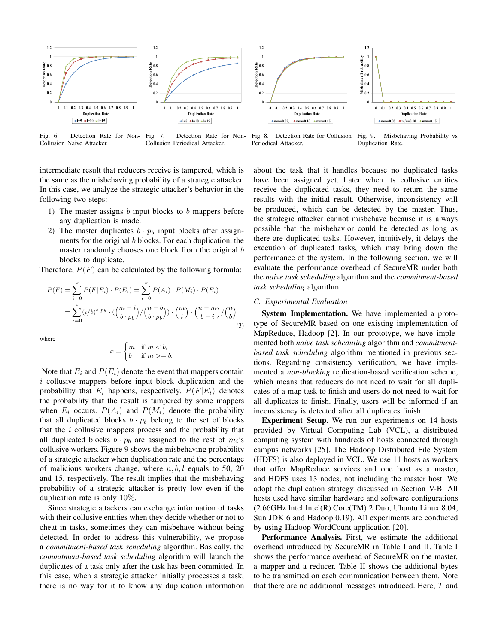



intermediate result that reducers receive is tampered, which is the same as the misbehaving probability of a strategic attacker. In this case, we analyze the strategic attacker's behavior in the following two steps:

- 1) The master assigns  $b$  input blocks to  $b$  mappers before any duplication is made.
- 2) The master duplicates  $b \cdot p_b$  input blocks after assignments for the original  $b$  blocks. For each duplication, the master randomly chooses one block from the original b blocks to duplicate.

Therefore,  $P(F)$  can be calculated by the following formula:

$$
P(F) = \sum_{i=0}^{x} P(F|E_i) \cdot P(E_i) = \sum_{i=0}^{x} P(A_i) \cdot P(M_i) \cdot P(E_i)
$$
  
= 
$$
\sum_{i=0}^{x} (i/b)^{b \cdot p_b} \cdot {m \choose b \cdot p_b} / {n-b \choose b \cdot p_b} \cdot {m \choose i} \cdot {n-m \choose b-i} / {n \choose b}
$$
 (3)

where

$$
x = \begin{cases} m & \text{if } m < b, \\ b & \text{if } m > = b. \end{cases}
$$

Note that  $E_i$  and  $P(E_i)$  denote the event that mappers contain i collusive mappers before input block duplication and the probability that  $E_i$  happens, respectively.  $P(F|E_i)$  denotes the probability that the result is tampered by some mappers when  $E_i$  occurs.  $P(A_i)$  and  $P(M_i)$  denote the probability that all duplicated blocks  $b \cdot p_b$  belong to the set of blocks that the  $i$  collusive mappers process and the probability that all duplicated blocks  $b \cdot p_b$  are assigned to the rest of  $m_i$ 's collusive workers. Figure 9 shows the misbehaving probability of a strategic attacker when duplication rate and the percentage of malicious workers change, where  $n, b, l$  equals to 50, 20 and 15, respectively. The result implies that the misbehaving probability of a strategic attacker is pretty low even if the duplication rate is only 10%.

Since strategic attackers can exchange information of tasks with their collusive entities when they decide whether or not to cheat in tasks, sometimes they can misbehave without being detected. In order to address this vulnerability, we propose a *commitment-based task scheduling* algorithm. Basically, the *commitment-based task scheduling* algorithm will launch the duplicates of a task only after the task has been committed. In this case, when a strategic attacker initially processes a task, there is no way for it to know any duplication information



Fig. 8. Detection Rate for Collusion Periodical Attacker.

Fig. 9. Misbehaving Probability vs Duplication Rate.

about the task that it handles because no duplicated tasks have been assigned yet. Later when its collusive entities receive the duplicated tasks, they need to return the same results with the initial result. Otherwise, inconsistency will be produced, which can be detected by the master. Thus, the strategic attacker cannot misbehave because it is always possible that the misbehavior could be detected as long as there are duplicated tasks. However, intuitively, it delays the execution of duplicated tasks, which may bring down the performance of the system. In the following section, we will evaluate the performance overhead of SecureMR under both the *naive task scheduling* algorithm and the *commitment-based task scheduling* algorithm.

#### *C. Experimental Evaluation*

**System Implementation.** We have implemented a prototype of SecureMR based on one existing implementation of MapReduce, Hadoop [2]. In our prototype, we have implemented both *naive task scheduling* algorithm and *commitmentbased task scheduling* algorithm mentioned in previous sections. Regarding consistency verification, we have implemented a *non-blocking* replication-based verification scheme, which means that reducers do not need to wait for all duplicates of a map task to finish and users do not need to wait for all duplicates to finish. Finally, users will be informed if an inconsistency is detected after all duplicates finish.

**Experiment Setup.** We run our experiments on 14 hosts provided by Virtual Computing Lab (VCL), a distributed computing system with hundreds of hosts connected through campus networks [25]. The Hadoop Distributed File System (HDFS) is also deployed in VCL. We use 11 hosts as workers that offer MapReduce services and one host as a master, and HDFS uses 13 nodes, not including the master host. We adopt the duplication strategy discussed in Section V-B. All hosts used have similar hardware and software configurations  $(2.66$ GHz Intel Intel $(R)$  Core $(TM)$  2 Duo, Ubuntu Linux 8.04, Sun JDK 6 and Hadoop 0.19). All experiments are conducted by using Hadoop WordCount application [20].

**Performance Analysis.** First, we estimate the additional overhead introduced by SecureMR in Table I and II. Table I shows the performance overhead of SecureMR on the master, a mapper and a reducer. Table II shows the additional bytes to be transmitted on each communication between them. Note that there are no additional messages introduced. Here, T and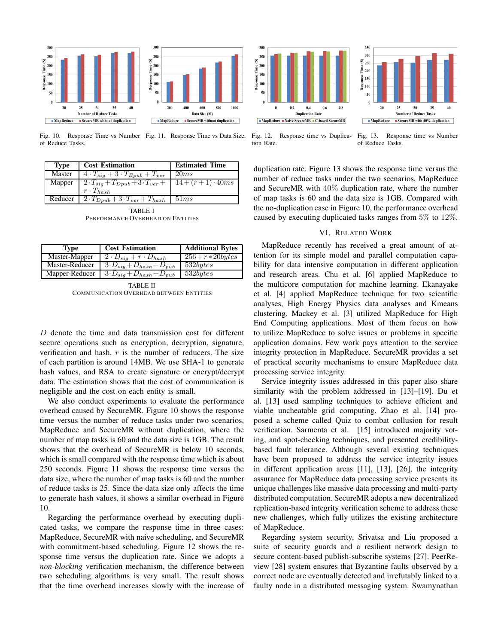

Fig. 10. Response Time vs Number Fig. 11. Response Time vs Data Size. of Reduce Tasks.

| Type    | <b>Cost Estimation</b>                                                 | <b>Estimated Time</b> |
|---------|------------------------------------------------------------------------|-----------------------|
| Master  | $\overline{4 \cdot T_{sig} + 3 \cdot T_{Epub} + T_{ver}}$              | 20 ms                 |
| Mapper  | $2 \cdot T_{sig} + T_{Dpub} + 3 \cdot T_{ver} + 14 + (r+1) \cdot 40ms$ |                       |
|         | $r \cdot T_{hash}$                                                     |                       |
| Reducer | $2 \cdot T_{Dpub} + 3 \cdot T_{ver} + T_{hash}$                        | 51ms                  |

TABLE I PERFORMANCE OVERHEAD ON ENTITIES

| Type           | <b>Cost Estimation</b>                 | <b>Additional Bytes</b> |
|----------------|----------------------------------------|-------------------------|
| Master-Mapper  | $2 \cdot D_{sig} + r \cdot D_{hash}$   | $256 + r * 20 bytes$    |
| Master-Reducer | $3 \cdot D_{sig} + D_{hash} + D_{pub}$ | 532 bytes               |
| Mapper-Reducer | $3 \cdot D_{sig} + D_{hash} + D_{pub}$ | 532butes                |

TABLE II COMMUNICATION OVERHEAD BETWEEN ENTITIES

 $D$  denote the time and data transmission cost for different secure operations such as encryption, decryption, signature, verification and hash.  $r$  is the number of reducers. The size of each partition is around 14MB. We use SHA-1 to generate hash values, and RSA to create signature or encrypt/decrypt data. The estimation shows that the cost of communication is negligible and the cost on each entity is small.

We also conduct experiments to evaluate the performance overhead caused by SecureMR. Figure 10 shows the response time versus the number of reduce tasks under two scenarios, MapReduce and SecureMR without duplication, where the number of map tasks is 60 and the data size is 1GB. The result shows that the overhead of SecureMR is below 10 seconds, which is small compared with the response time which is about 250 seconds. Figure 11 shows the response time versus the data size, where the number of map tasks is 60 and the number of reduce tasks is 25. Since the data size only affects the time to generate hash values, it shows a similar overhead in Figure 10.

Regarding the performance overhead by executing duplicated tasks, we compare the response time in three cases: MapReduce, SecureMR with naive scheduling, and SecureMR with commitment-based scheduling. Figure 12 shows the response time versus the duplication rate. Since we adopts a *non-blocking* verification mechanism, the difference between two scheduling algorithms is very small. The result shows that the time overhead increases slowly with the increase of



Fig. 12. Response time vs Duplication Rate.

Fig. 13. Response time vs Number of Reduce Tasks.

duplication rate. Figure 13 shows the response time versus the number of reduce tasks under the two scenarios, MapReduce and SecureMR with 40% duplication rate, where the number of map tasks is 60 and the data size is 1GB. Compared with the no-duplication case in Figure 10, the performance overhead caused by executing duplicated tasks ranges from 5% to 12%.

## VI. RELATED WORK

MapReduce recently has received a great amount of attention for its simple model and parallel computation capability for data intensive computation in different application and research areas. Chu et al. [6] applied MapReduce to the multicore computation for machine learning. Ekanayake et al. [4] applied MapReduce technique for two scientific analyses, High Energy Physics data analyses and Kmeans clustering. Mackey et al. [3] utilized MapReduce for High End Computing applications. Most of them focus on how to utilize MapReduce to solve issues or problems in specific application domains. Few work pays attention to the service integrity protection in MapReduce. SecureMR provides a set of practical security mechanisms to ensure MapReduce data processing service integrity.

Service integrity issues addressed in this paper also share similarity with the problem addressed in [13]–[19]. Du et al. [13] used sampling techniques to achieve efficient and viable uncheatable grid computing. Zhao et al. [14] proposed a scheme called Quiz to combat collusion for result verification. Sarmenta et al. [15] introduced majority voting, and spot-checking techniques, and presented credibilitybased fault tolerance. Although several existing techniques have been proposed to address the service integrity issues in different application areas [11], [13], [26], the integrity assurance for MapReduce data processing service presents its unique challenges like massive data processing and multi-party distributed computation. SecureMR adopts a new decentralized replication-based integrity verification scheme to address these new challenges, which fully utilizes the existing architecture of MapReduce.

Regarding system security, Srivatsa and Liu proposed a suite of security guards and a resilient network design to secure content-based publish-subscribe systems [27]. PeerReview [28] system ensures that Byzantine faults observed by a correct node are eventually detected and irrefutably linked to a faulty node in a distributed messaging system. Swamynathan